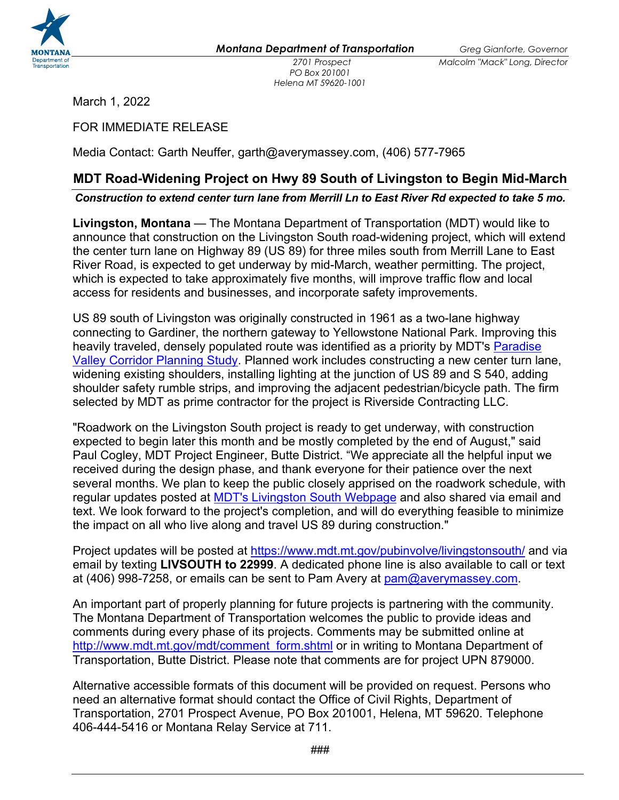

*PO Box 201001 Helena MT 59620-1001*

March 1, 2022

FOR IMMEDIATE RELEASE

Media Contact: Garth Neuffer, garth@averymassey.com, (406) 577-7965

## **MDT Road-Widening Project on Hwy 89 South of Livingston to Begin Mid-March**

## *Construction to extend center turn lane from Merrill Ln to East River Rd expected to take 5 mo.*

**Livingston, Montana** — The Montana Department of Transportation (MDT) would like to announce that construction on the Livingston South road-widening project, which will extend the center turn lane on Highway 89 (US 89) for three miles south from Merrill Lane to East River Road, is expected to get underway by mid-March, weather permitting. The project, which is expected to take approximately five months, will improve traffic flow and local access for residents and businesses, and incorporate safety improvements.

US 89 south of Livingston was originally constructed in 1961 as a two-lane highway connecting to Gardiner, the northern gateway to Yellowstone National Park. Improving this heavily traveled, densely populated route was identified as a priority by MDT's [Paradise](https://mdt.mt.gov/pubinvolve/paradisevalley/)  Valley [Corridor Planning Study.](https://mdt.mt.gov/pubinvolve/paradisevalley/) Planned work includes constructing a new center turn lane, widening existing shoulders, installing lighting at the junction of US 89 and S 540, adding shoulder safety rumble strips, and improving the adjacent pedestrian/bicycle path. The firm selected by MDT as prime contractor for the project is Riverside Contracting LLC.

"Roadwork on the Livingston South project is ready to get underway, with construction expected to begin later this month and be mostly completed by the end of August," said Paul Cogley, MDT Project Engineer, Butte District. "We appreciate all the helpful input we received during the design phase, and thank everyone for their patience over the next several months. We plan to keep the public closely apprised on the roadwork schedule, with regular updates posted at [MDT's Livingston South Webpage](https://www.mdt.mt.gov/pubinvolve/livingstonsouth/) and also shared via email and text. We look forward to the project's completion, and will do everything feasible to minimize the impact on all who live along and travel US 89 during construction."

Project updates will be posted at<https://www.mdt.mt.gov/pubinvolve/livingstonsouth/> and via email by texting **LIVSOUTH to 22999**. A dedicated phone line is also available to call or text at (406) 998-7258, or emails can be sent to Pam Avery at  $pam@averymassey.com$ .

An important part of properly planning for future projects is partnering with the community. The Montana Department of Transportation welcomes the public to provide ideas and comments during every phase of its projects. Comments may be submitted online at [http://www.mdt.mt.gov/mdt/comment\\_form.shtml](http://www.mdt.mt.gov/mdt/comment_form.shtml) or in writing to Montana Department of Transportation, Butte District. Please note that comments are for project UPN 879000.

Alternative accessible formats of this document will be provided on request. Persons who need an alternative format should contact the Office of Civil Rights, Department of Transportation, 2701 Prospect Avenue, PO Box 201001, Helena, MT 59620. Telephone 406-444-5416 or Montana Relay Service at 711.